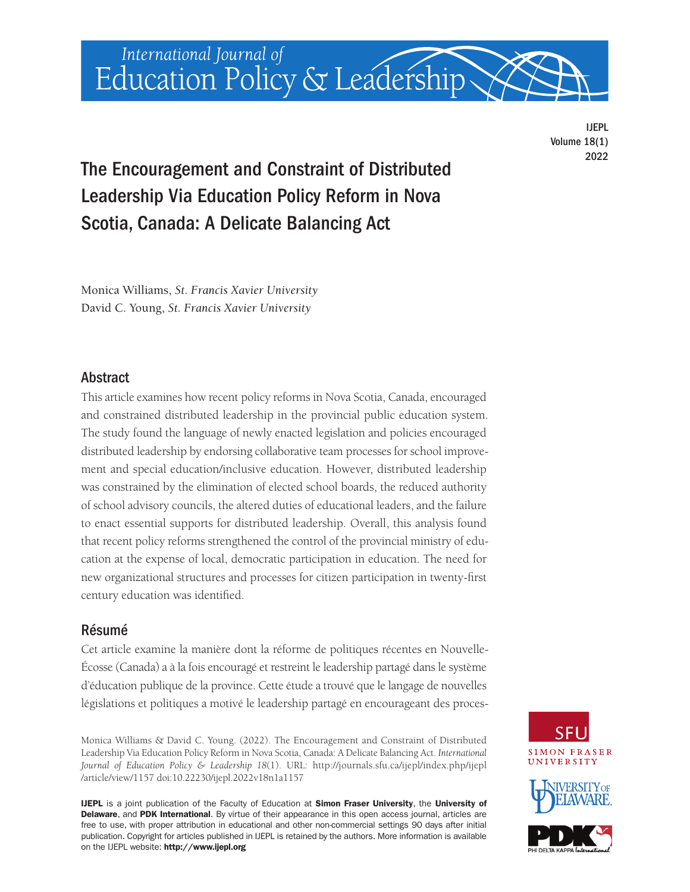

IJEPL Volume 18(1) 2022

# The Encouragement and Constraint of Distributed Leadership Via Education Policy Reform in Nova Scotia, Canada: A Delicate Balancing Act

Monica Williams, *St. Francis Xavier University* David C. Young, *St. Francis Xavier University*

# **Abstract**

This article examines how recent policy reforms in Nova Scotia, Canada, encouraged and constrained distributed leadership in the provincial public education system. The study found the language of newly enacted legislation and policies encouraged distributed leadership by endorsing collaborative team processes for school improvement and special education/inclusive education. However, distributed leadership was constrained by the elimination of elected school boards, the reduced authority of school advisory councils, the altered duties of educational leaders, and the failure to enact essential supports for distributed leadership. Overall, this analysis found that recent policy reforms strengthened the control of the provincial ministry of education at the expense of local, democratic participation in education. The need for new organizational structures and processes for citizen participation in twenty-first century education was identified.

# Résumé

Cet article examine la manière dont la réforme de politiques récentes en Nouvelle-Écosse (Canada) a à la fois encouragé et restreint le leadership partagé dans le système d'éducation publique de la province. Cette étude a trouvé que le langage de nouvelles législations et politiques a motivé le leadership partagé en encourageant des proces-

Monica Williams & David C. Young. (2022). The Encouragement and Constraint of Distributed Leadership Via Education Policy Reform in Nova Scotia, Canada: A Delicate Balancing Act. *International Journal of Education Policy & Leadership 18*(1). URL: [http://journals.sfu.ca/ijepl/index.php/ijepl](http://journals.sfu.ca/ijepl/index.php/ijepl/article/view/1157)  [/article/view/1157](http://journals.sfu.ca/ijepl/index.php/ijepl/article/view/1157) doi[:10.22230/ijepl.2022v18n1a1157](https://doi.org/10.22230/ijepl.2022v18n1a1157)

IJEPL is a joint publication of the Faculty of Education at Simon Fraser University, the University of Delaware, and PDK International. By virtue of their appearance in this open access journal, articles are free to use, with proper attribution in educational and other non-commercial settings 90 days after initial publication. Copyright for articles published in IJEPL is retained by the authors. More information is available on the IJEPL website: <http://www.ijepl.org>

**SIMON FRASER** UNIVERSITY



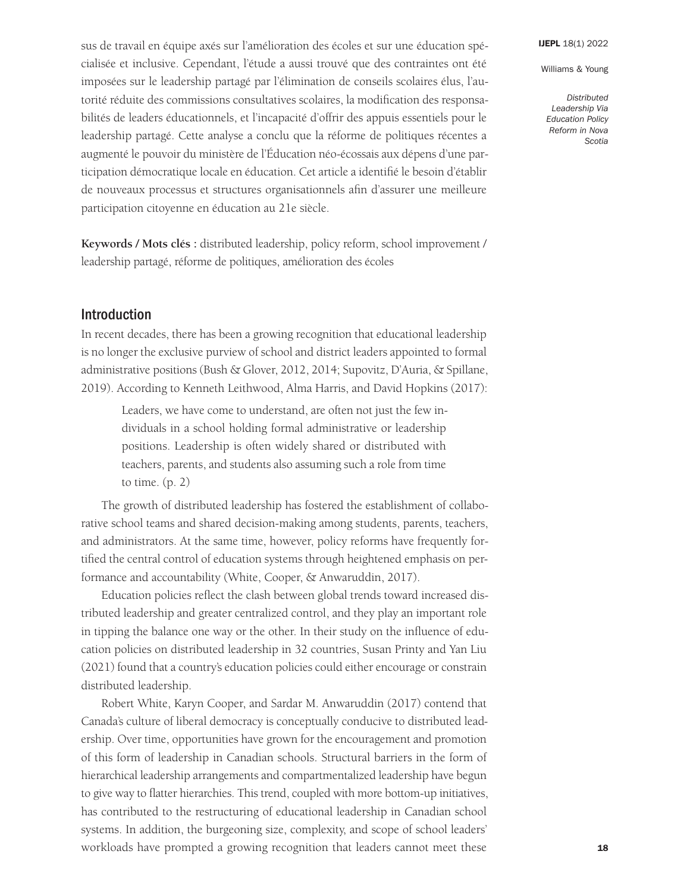Williams & Young

*Distributed Leadership Via Education Policy Reform in Nova Scotia* 

sus de travail en équipe axés sur l'amélioration des écoles et sur une éducation spécialisée et inclusive. Cependant, l'étude a aussi trouvé que des contraintes ont été imposées sur le leadership partagé par l'élimination de conseils scolaires élus, l'autorité réduite des commissions consultatives scolaires, la modification des responsabilités de leaders éducationnels, et l'incapacité d'offrir des appuis essentiels pour le leadership partagé. Cette analyse a conclu que la réforme de politiques récentes a augmenté le pouvoir du ministère de l'Éducation néo-écossais aux dépens d'une participation démocratique locale en éducation. Cet article a identifié le besoin d'établir de nouveaux processus et structures organisationnels afin d'assurer une meilleure participation citoyenne en éducation au 21e siècle.

**Keywords / Mots clés :** distributed leadership, policy reform, school improvement / leadership partagé, réforme de politiques, amélioration des écoles

# Introduction

In recent decades, there has been a growing recognition that educational leadership is no longer the exclusive purview of school and district leaders appointed to formal administrative positions (Bush & Glover, 2012, 2014; Supovitz, D'Auria, & Spillane, 2019). According to Kenneth Leithwood, Alma Harris, and David Hopkins (2017):

Leaders, we have come to understand, are often not just the few individuals in a school holding formal administrative or leadership positions. Leadership is often widely shared or distributed with teachers, parents, and students also assuming such a role from time to time. (p. 2)

The growth of distributed leadership has fostered the establishment of collaborative school teams and shared decision-making among students, parents, teachers, and administrators. At the same time, however, policy reforms have frequently fortified the central control of education systems through heightened emphasis on performance and accountability (White, Cooper, & Anwaruddin, 2017).

Education policies reflect the clash between global trends toward increased distributed leadership and greater centralized control, and they play an important role in tipping the balance one way or the other. In their study on the influence of education policies on distributed leadership in 32 countries, Susan Printy and Yan Liu (2021) found that a country's education policies could either encourage or constrain distributed leadership.

Robert White, Karyn Cooper, and Sardar M. Anwaruddin (2017) contend that Canada's culture of liberal democracy is conceptually conducive to distributed leadership. Over time, opportunities have grown for the encouragement and promotion of this form of leadership in Canadian schools. Structural barriers in the form of hierarchical leadership arrangements and compartmentalized leadership have begun to give way to flatter hierarchies. This trend, coupled with more bottom-up initiatives, has contributed to the restructuring of educational leadership in Canadian school systems. In addition, the burgeoning size, complexity, and scope of school leaders' workloads have prompted a growing recognition that leaders cannot meet these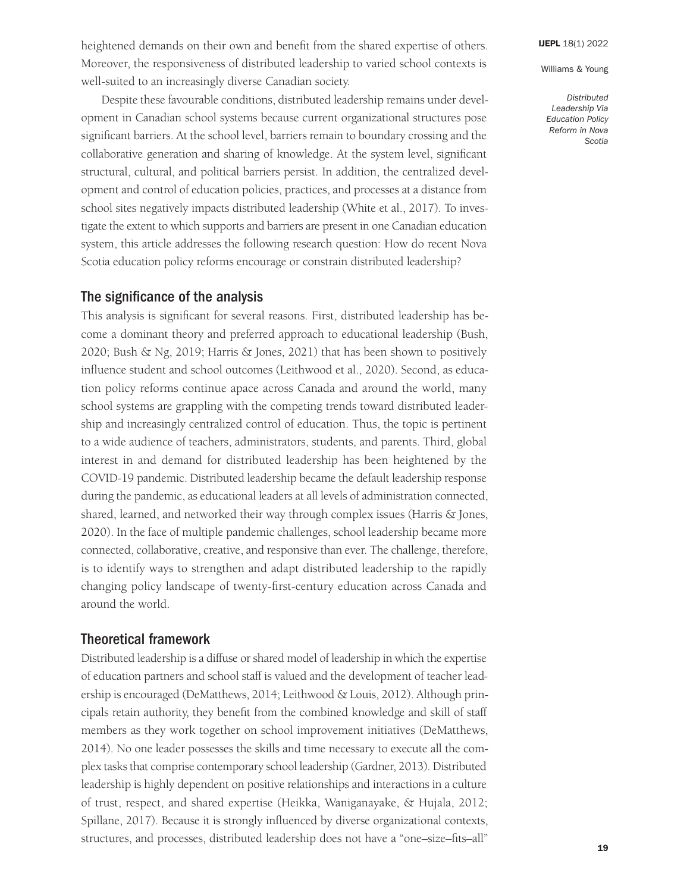*Distributed Leadership Via Education Policy Reform in Nova Scotia* 

heightened demands on their own and benefit from the shared expertise of others. Moreover, the responsiveness of distributed leadership to varied school contexts is well-suited to an increasingly diverse Canadian society.

Despite these favourable conditions, distributed leadership remains under development in Canadian school systems because current organizational structures pose significant barriers. At the school level, barriers remain to boundary crossing and the collaborative generation and sharing of knowledge. At the system level, significant structural, cultural, and political barriers persist. In addition, the centralized development and control of education policies, practices, and processes at a distance from school sites negatively impacts distributed leadership (White et al., 2017). To investigate the extent to which supports and barriers are present in one Canadian education system, this article addresses the following research question: How do recent Nova Scotia education policy reforms encourage or constrain distributed leadership?

# The significance of the analysis

This analysis is significant for several reasons. First, distributed leadership has become a dominant theory and preferred approach to educational leadership (Bush, 2020; Bush & Ng, 2019; Harris & Jones, 2021) that has been shown to positively influence student and school outcomes (Leithwood et al., 2020). Second, as education policy reforms continue apace across Canada and around the world, many school systems are grappling with the competing trends toward distributed leadership and increasingly centralized control of education. Thus, the topic is pertinent to a wide audience of teachers, administrators, students, and parents. Third, global interest in and demand for distributed leadership has been heightened by the COVID-19 pandemic. Distributed leadership became the default leadership response during the pandemic, as educational leaders at all levels of administration connected, shared, learned, and networked their way through complex issues (Harris & Jones, 2020). In the face of multiple pandemic challenges, school leadership became more connected, collaborative, creative, and responsive than ever. The challenge, therefore, is to identify ways to strengthen and adapt distributed leadership to the rapidly changing policy landscape of twenty-first-century education across Canada and around the world.

# Theoretical framework

Distributed leadership is a diffuse or shared model of leadership in which the expertise of education partners and school staff is valued and the development of teacher leadership is encouraged (DeMatthews, 2014; Leithwood & Louis, 2012). Although principals retain authority, they benefit from the combined knowledge and skill of staff members as they work together on school improvement initiatives (DeMatthews, 2014). No one leader possesses the skills and time necessary to execute all the complex tasks that comprise contemporary school leadership (Gardner, 2013). Distributed leadership is highly dependent on positive relationships and interactions in a culture of trust, respect, and shared expertise (Heikka, Waniganayake, & Hujala, 2012; Spillane, 2017). Because it is strongly influenced by diverse organizational contexts, structures, and processes, distributed leadership does not have a "one–size–fits–all"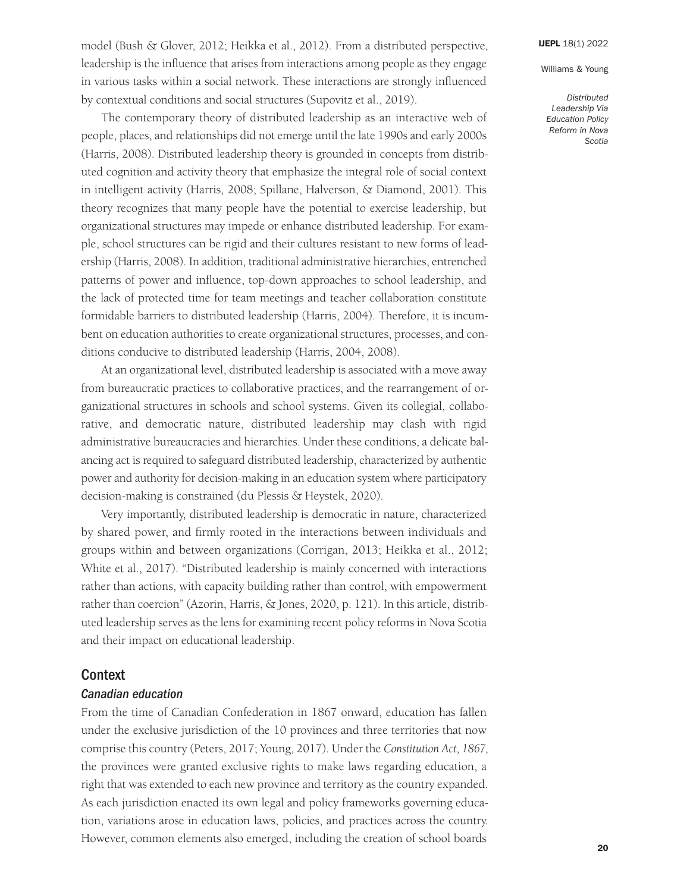Williams & Young

model (Bush & Glover, 2012; Heikka et al., 2012). From a distributed perspective, leadership is the influence that arises from interactions among people as they engage in various tasks within a social network. These interactions are strongly influenced by contextual conditions and social structures (Supovitz et al., 2019).

The contemporary theory of distributed leadership as an interactive web of people, places, and relationships did not emerge until the late 1990s and early 2000s (Harris, 2008). Distributed leadership theory is grounded in concepts from distributed cognition and activity theory that emphasize the integral role of social context in intelligent activity (Harris, 2008; Spillane, Halverson, & Diamond, 2001). This theory recognizes that many people have the potential to exercise leadership, but organizational structures may impede or enhance distributed leadership. For example, school structures can be rigid and their cultures resistant to new forms of leadership (Harris, 2008). In addition, traditional administrative hierarchies, entrenched patterns of power and influence, top-down approaches to school leadership, and the lack of protected time for team meetings and teacher collaboration constitute formidable barriers to distributed leadership (Harris, 2004). Therefore, it is incumbent on education authorities to create organizational structures, processes, and conditions conducive to distributed leadership (Harris, 2004, 2008).

At an organizational level, distributed leadership is associated with a move away from bureaucratic practices to collaborative practices, and the rearrangement of organizational structures in schools and school systems. Given its collegial, collaborative, and democratic nature, distributed leadership may clash with rigid administrative bureaucracies and hierarchies. Under these conditions, a delicate balancing act is required to safeguard distributed leadership, characterized by authentic power and authority for decision-making in an education system where participatory decision-making is constrained (du Plessis & Heystek, 2020).

Very importantly, distributed leadership is democratic in nature, characterized by shared power, and firmly rooted in the interactions between individuals and groups within and between organizations (Corrigan, 2013; Heikka et al., 2012; White et al., 2017). "Distributed leadership is mainly concerned with interactions rather than actions, with capacity building rather than control, with empowerment rather than coercion" (Azorin, Harris, & Jones, 2020, p. 121). In this article, distributed leadership serves as the lens for examining recent policy reforms in Nova Scotia and their impact on educational leadership.

## **Context**

#### *Canadian education*

From the time of Canadian Confederation in 1867 onward, education has fallen under the exclusive jurisdiction of the 10 provinces and three territories that now comprise this country (Peters, 2017; Young, 2017). Under the *Constitution Act, 1867*, the provinces were granted exclusive rights to make laws regarding education, a right that was extended to each new province and territory as the country expanded. As each jurisdiction enacted its own legal and policy frameworks governing education, variations arose in education laws, policies, and practices across the country. However, common elements also emerged, including the creation of school boards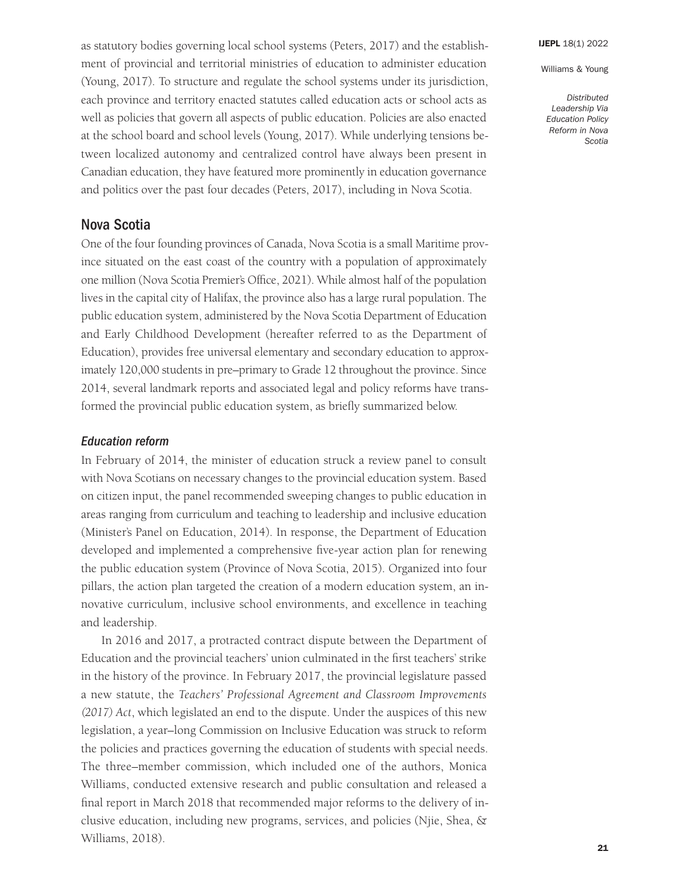*Distributed Leadership Via Education Policy Reform in Nova Scotia* 

as statutory bodies governing local school systems (Peters, 2017) and the establishment of provincial and territorial ministries of education to administer education (Young, 2017). To structure and regulate the school systems under its jurisdiction, each province and territory enacted statutes called education acts or school acts as well as policies that govern all aspects of public education. Policies are also enacted at the school board and school levels (Young, 2017). While underlying tensions between localized autonomy and centralized control have always been present in Canadian education, they have featured more prominently in education governance and politics over the past four decades (Peters, 2017), including in Nova Scotia.

# Nova Scotia

One of the four founding provinces of Canada, Nova Scotia is a small Maritime province situated on the east coast of the country with a population of approximately one million (Nova Scotia Premier's Office, 2021). While almost half of the population lives in the capital city of Halifax, the province also has a large rural population. The public education system, administered by the Nova Scotia Department of Education and Early Childhood Development (hereafter referred to as the Department of Education), provides free universal elementary and secondary education to approximately 120,000 students in pre–primary to Grade 12 throughout the province. Since 2014, several landmark reports and associated legal and policy reforms have transformed the provincial public education system, as briefly summarized below.

### *Education reform*

In February of 2014, the minister of education struck a review panel to consult with Nova Scotians on necessary changes to the provincial education system. Based on citizen input, the panel recommended sweeping changes to public education in areas ranging from curriculum and teaching to leadership and inclusive education (Minister's Panel on Education, 2014). In response, the Department of Education developed and implemented a comprehensive five-year action plan for renewing the public education system (Province of Nova Scotia, 2015). Organized into four pillars, the action plan targeted the creation of a modern education system, an innovative curriculum, inclusive school environments, and excellence in teaching and leadership.

In 2016 and 2017, a protracted contract dispute between the Department of Education and the provincial teachers' union culminated in the first teachers' strike in the history of the province. In February 2017, the provincial legislature passed a new statute, the *Teachers' Professional Agreement and Classroom Improvements (2017) Act*, which legislated an end to the dispute. Under the auspices of this new legislation, a year–long Commission on Inclusive Education was struck to reform the policies and practices governing the education of students with special needs. The three–member commission, which included one of the authors, Monica Williams, conducted extensive research and public consultation and released a final report in March 2018 that recommended major reforms to the delivery of inclusive education, including new programs, services, and policies (Njie, Shea, & Williams, 2018).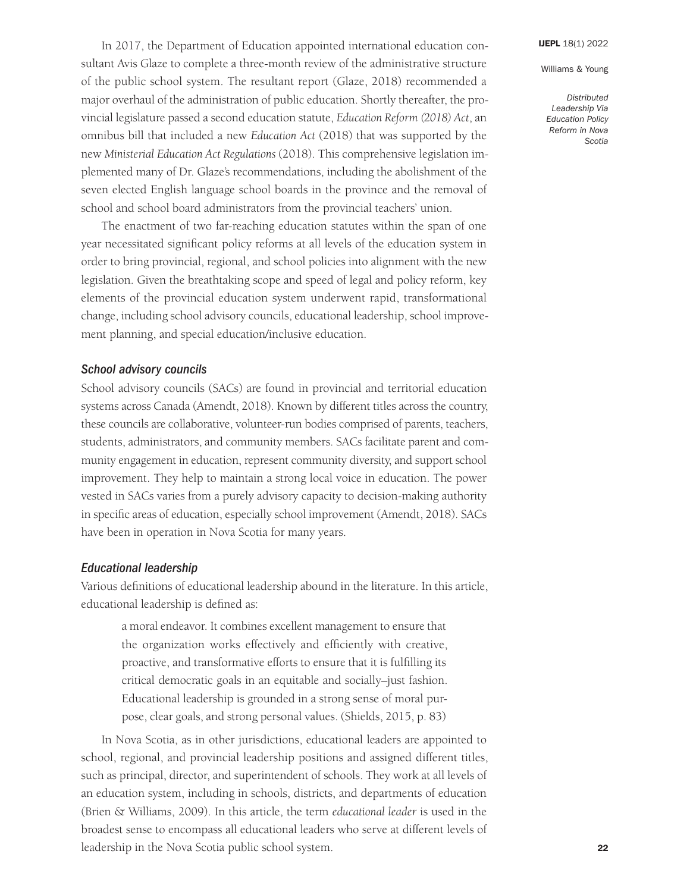*Distributed Leadership Via Education Policy Reform in Nova Scotia* 

In 2017, the Department of Education appointed international education consultant Avis Glaze to complete a three-month review of the administrative structure of the public school system. The resultant report (Glaze, 2018) recommended a major overhaul of the administration of public education. Shortly thereafter, the provincial legislature passed a second education statute, *Education Reform (2018) Act*, an omnibus bill that included a new *Education Act* (2018) that was supported by the new *Ministerial Education Act Regulations* (2018). This comprehensive legislation implemented many of Dr. Glaze's recommendations, including the abolishment of the seven elected English language school boards in the province and the removal of school and school board administrators from the provincial teachers' union.

The enactment of two far-reaching education statutes within the span of one year necessitated significant policy reforms at all levels of the education system in order to bring provincial, regional, and school policies into alignment with the new legislation. Given the breathtaking scope and speed of legal and policy reform, key elements of the provincial education system underwent rapid, transformational change, including school advisory councils, educational leadership, school improvement planning, and special education/inclusive education.

#### *School advisory councils*

School advisory councils (SACs) are found in provincial and territorial education systems across Canada (Amendt, 2018). Known by different titles across the country, these councils are collaborative, volunteer-run bodies comprised of parents, teachers, students, administrators, and community members. SACs facilitate parent and community engagement in education, represent community diversity, and support school improvement. They help to maintain a strong local voice in education. The power vested in SACs varies from a purely advisory capacity to decision-making authority in specific areas of education, especially school improvement (Amendt, 2018). SACs have been in operation in Nova Scotia for many years.

#### *Educational leadership*

Various definitions of educational leadership abound in the literature. In this article, educational leadership is defined as:

a moral endeavor. It combines excellent management to ensure that the organization works effectively and efficiently with creative, proactive, and transformative efforts to ensure that it is fulfilling its critical democratic goals in an equitable and socially–just fashion. Educational leadership is grounded in a strong sense of moral purpose, clear goals, and strong personal values. (Shields, 2015, p. 83)

In Nova Scotia, as in other jurisdictions, educational leaders are appointed to school, regional, and provincial leadership positions and assigned different titles, such as principal, director, and superintendent of schools. They work at all levels of an education system, including in schools, districts, and departments of education (Brien & Williams, 2009). In this article, the term *educational leader* is used in the broadest sense to encompass all educational leaders who serve at different levels of leadership in the Nova Scotia public school system.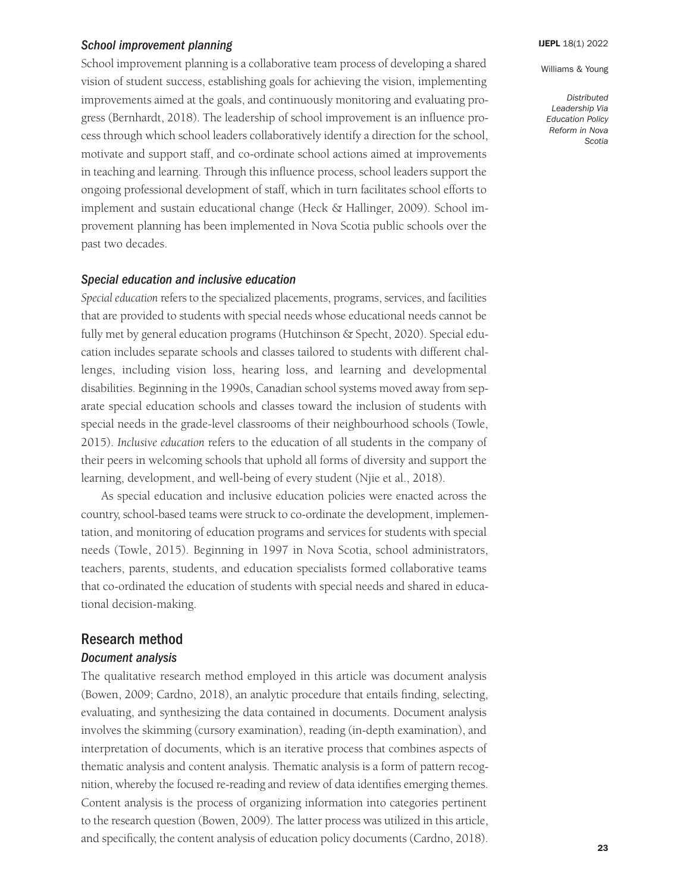#### *School improvement planning*

School improvement planning is a collaborative team process of developing a shared vision of student success, establishing goals for achieving the vision, implementing improvements aimed at the goals, and continuously monitoring and evaluating progress (Bernhardt, 2018). The leadership of school improvement is an influence process through which school leaders collaboratively identify a direction for the school, motivate and support staff, and co-ordinate school actions aimed at improvements in teaching and learning. Through this influence process, school leaders support the ongoing professional development of staff, which in turn facilitates school efforts to implement and sustain educational change (Heck & Hallinger, 2009). School improvement planning has been implemented in Nova Scotia public schools over the past two decades.

## *Special education and inclusive education*

*Special education* refers to the specialized placements, programs, services, and facilities that are provided to students with special needs whose educational needs cannot be fully met by general education programs (Hutchinson & Specht, 2020). Special education includes separate schools and classes tailored to students with different challenges, including vision loss, hearing loss, and learning and developmental disabilities. Beginning in the 1990s, Canadian school systems moved away from separate special education schools and classes toward the inclusion of students with special needs in the grade-level classrooms of their neighbourhood schools (Towle, 2015). *Inclusive education* refers to the education of all students in the company of their peers in welcoming schools that uphold all forms of diversity and support the learning, development, and well-being of every student (Njie et al., 2018).

As special education and inclusive education policies were enacted across the country, school-based teams were struck to co-ordinate the development, implementation, and monitoring of education programs and services for students with special needs (Towle, 2015). Beginning in 1997 in Nova Scotia, school administrators, teachers, parents, students, and education specialists formed collaborative teams that co-ordinated the education of students with special needs and shared in educational decision-making.

# Research method

## *Document analysis*

The qualitative research method employed in this article was document analysis (Bowen, 2009; Cardno, 2018), an analytic procedure that entails finding, selecting, evaluating, and synthesizing the data contained in documents. Document analysis involves the skimming (cursory examination), reading (in-depth examination), and interpretation of documents, which is an iterative process that combines aspects of thematic analysis and content analysis. Thematic analysis is a form of pattern recognition, whereby the focused re-reading and review of data identifies emerging themes. Content analysis is the process of organizing information into categories pertinent to the research question (Bowen, 2009). The latter process was utilized in this article, and specifically, the content analysis of education policy documents (Cardno, 2018). Williams & Young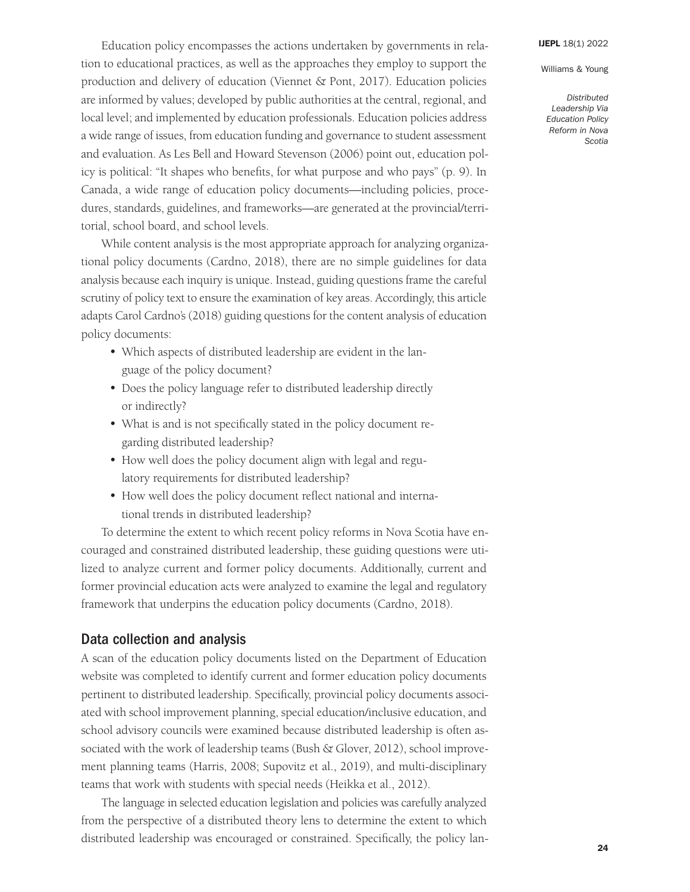*Distributed Leadership Via Education Policy Reform in Nova Scotia* 

Education policy encompasses the actions undertaken by governments in relation to educational practices, as well as the approaches they employ to support the production and delivery of education (Viennet & Pont, 2017). Education policies are informed by values; developed by public authorities at the central, regional, and local level; and implemented by education professionals. Education policies address a wide range of issues, from education funding and governance to student assessment and evaluation. As Les Bell and Howard Stevenson (2006) point out, education policy is political: "It shapes who benefits, for what purpose and who pays" (p. 9). In Canada, a wide range of education policy documents—including policies, procedures, standards, guidelines, and frameworks—are generated at the provincial/territorial, school board, and school levels.

While content analysis is the most appropriate approach for analyzing organizational policy documents (Cardno, 2018), there are no simple guidelines for data analysis because each inquiry is unique. Instead, guiding questions frame the careful scrutiny of policy text to ensure the examination of key areas. Accordingly, this article adapts Carol Cardno's (2018) guiding questions for the content analysis of education policy documents:

- Which aspects of distributed leadership are evident in the language of the policy document?
- Does the policy language refer to distributed leadership directly or indirectly?
- What is and is not specifically stated in the policy document regarding distributed leadership?
- How well does the policy document align with legal and regulatory requirements for distributed leadership?
- How well does the policy document reflect national and international trends in distributed leadership?

To determine the extent to which recent policy reforms in Nova Scotia have encouraged and constrained distributed leadership, these guiding questions were utilized to analyze current and former policy documents. Additionally, current and former provincial education acts were analyzed to examine the legal and regulatory framework that underpins the education policy documents (Cardno, 2018).

# Data collection and analysis

A scan of the education policy documents listed on the Department of Education website was completed to identify current and former education policy documents pertinent to distributed leadership. Specifically, provincial policy documents associated with school improvement planning, special education/inclusive education, and school advisory councils were examined because distributed leadership is often associated with the work of leadership teams (Bush & Glover, 2012), school improvement planning teams (Harris, 2008; Supovitz et al., 2019), and multi-disciplinary teams that work with students with special needs (Heikka et al., 2012).

The language in selected education legislation and policies was carefully analyzed from the perspective of a distributed theory lens to determine the extent to which distributed leadership was encouraged or constrained. Specifically, the policy lan-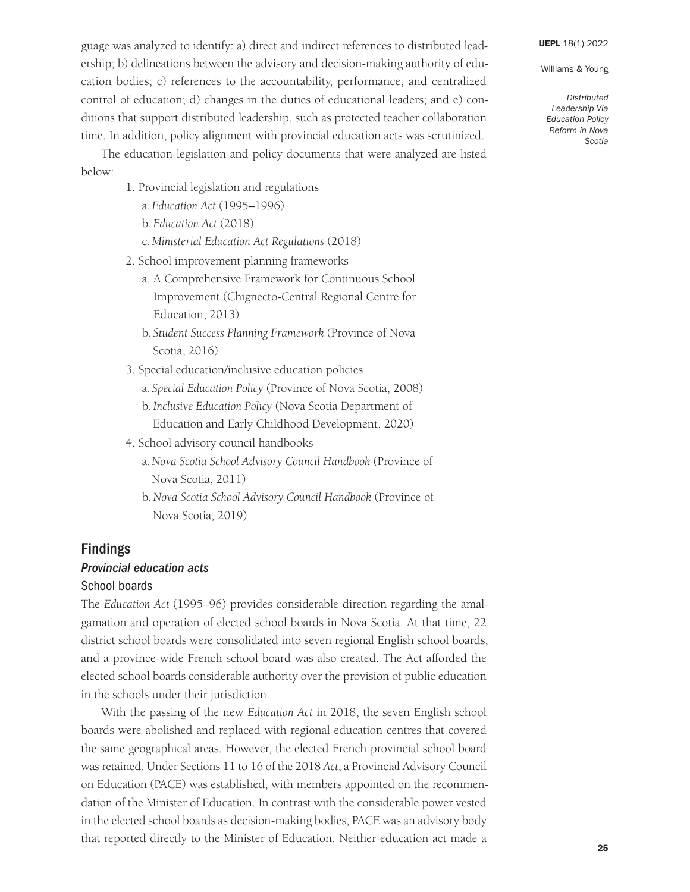Williams & Young

guage was analyzed to identify: a) direct and indirect references to distributed leadership; b) delineations between the advisory and decision-making authority of education bodies; c) references to the accountability, performance, and centralized control of education; d) changes in the duties of educational leaders; and e) conditions that support distributed leadership, such as protected teacher collaboration time. In addition, policy alignment with provincial education acts was scrutinized.

The education legislation and policy documents that were analyzed are listed below:

- 1. Provincial legislation and regulations
	- a.*Education Act* (1995–1996)
	- b.*Education Act* (2018)
	- c.*Ministerial Education Act Regulations* (2018)
- 2. School improvement planning frameworks
	- a. A Comprehensive Framework for Continuous School Improvement (Chignecto-Central Regional Centre for Education, 2013)
	- b. *Student Success Planning Framework* (Province of Nova Scotia, 2016)
- 3. Special education/inclusive education policies
	- a. *Special Education Policy* (Province of Nova Scotia, 2008)
	- b.*Inclusive Education Policy* (Nova Scotia Department of Education and Early Childhood Development, 2020)
- 4. School advisory council handbooks
	- a.*Nova Scotia School Advisory Council Handbook* (Province of Nova Scotia, 2011)
	- b.*Nova Scotia School Advisory Council Handbook* (Province of Nova Scotia, 2019)

# Findings *Provincial education acts*

#### School boards

The *Education Act* (1995–96) provides considerable direction regarding the amalgamation and operation of elected school boards in Nova Scotia. At that time, 22 district school boards were consolidated into seven regional English school boards, and a province-wide French school board was also created. The Act afforded the elected school boards considerable authority over the provision of public education in the schools under their jurisdiction.

With the passing of the new *Education Act* in 2018, the seven English school boards were abolished and replaced with regional education centres that covered the same geographical areas. However, the elected French provincial school board was retained. Under Sections 11 to 16 of the 2018 *Act*, a Provincial Advisory Council on Education (PACE) was established, with members appointed on the recommendation of the Minister of Education. In contrast with the considerable power vested in the elected school boards as decision-making bodies, PACE was an advisory body that reported directly to the Minister of Education. Neither education act made a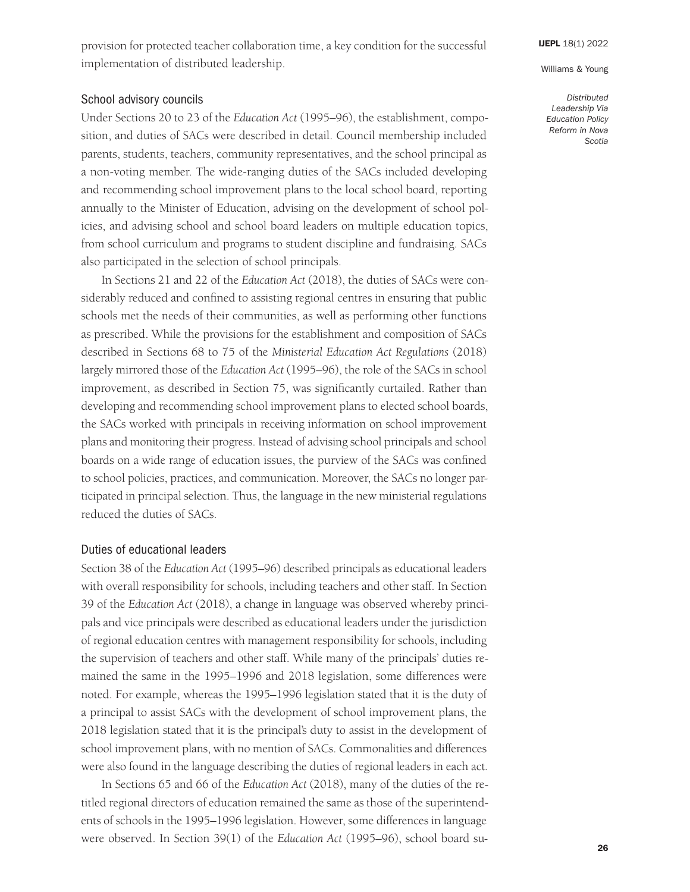provision for protected teacher collaboration time, a key condition for the successful implementation of distributed leadership.

### School advisory councils

Under Sections 20 to 23 of the *Education Act* (1995–96), the establishment, composition, and duties of SACs were described in detail. Council membership included parents, students, teachers, community representatives, and the school principal as a non-voting member. The wide-ranging duties of the SACs included developing and recommending school improvement plans to the local school board, reporting annually to the Minister of Education, advising on the development of school policies, and advising school and school board leaders on multiple education topics, from school curriculum and programs to student discipline and fundraising. SACs also participated in the selection of school principals.

In Sections 21 and 22 of the *Education Act* (2018), the duties of SACs were considerably reduced and confined to assisting regional centres in ensuring that public schools met the needs of their communities, as well as performing other functions as prescribed. While the provisions for the establishment and composition of SACs described in Sections 68 to 75 of the *Ministerial Education Act Regulations* (2018) largely mirrored those of the *Education Act* (1995–96), the role of the SACs in school improvement, as described in Section 75, was significantly curtailed. Rather than developing and recommending school improvement plans to elected school boards, the SACs worked with principals in receiving information on school improvement plans and monitoring their progress. Instead of advising school principals and school boards on a wide range of education issues, the purview of the SACs was confined to school policies, practices, and communication. Moreover, the SACs no longer participated in principal selection. Thus, the language in the new ministerial regulations reduced the duties of SACs.

#### Duties of educational leaders

Section 38 of the *Education Act* (1995–96) described principals as educational leaders with overall responsibility for schools, including teachers and other staff. In Section 39 of the *Education Act* (2018), a change in language was observed whereby principals and vice principals were described as educational leaders under the jurisdiction of regional education centres with management responsibility for schools, including the supervision of teachers and other staff. While many of the principals' duties remained the same in the 1995–1996 and 2018 legislation, some differences were noted. For example, whereas the 1995–1996 legislation stated that it is the duty of a principal to assist SACs with the development of school improvement plans, the 2018 legislation stated that it is the principal's duty to assist in the development of school improvement plans, with no mention of SACs. Commonalities and differences were also found in the language describing the duties of regional leaders in each act*.*

In Sections 65 and 66 of the *Education Act* (2018), many of the duties of the retitled regional directors of education remained the same as those of the superintendents of schools in the 1995 –1996 legislation. However, some differences in language were observed. In Section 39(1) of the *Education Act* (1995–96), school board su-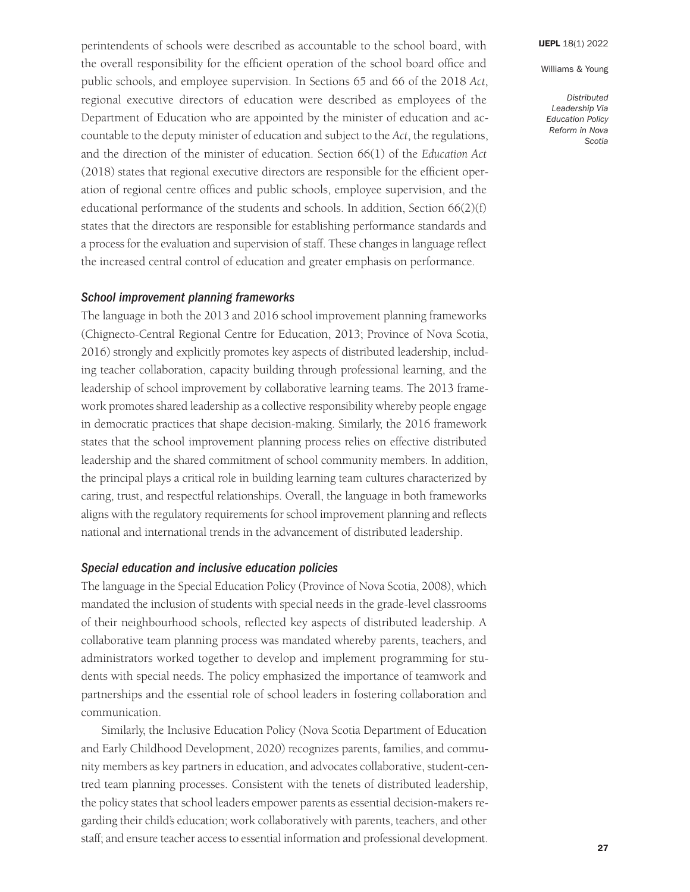*Distributed Leadership Via Education Policy Reform in Nova Scotia* 

perintendents of schools were described as accountable to the school board, with the overall responsibility for the efficient operation of the school board office and public schools, and employee supervision. In Sections 65 and 66 of the 2018 *Act*, regional executive directors of education were described as employees of the Department of Education who are appointed by the minister of education and accountable to the deputy minister of education and subject to the *Act*, the regulations, and the direction of the minister of education. Section 66(1) of the *Education Act* (2018) states that regional executive directors are responsible for the efficient operation of regional centre offices and public schools, employee supervision, and the educational performance of the students and schools. In addition, Section 66(2)(f) states that the directors are responsible for establishing performance standards and a process for the evaluation and supervision of staff. These changes in language reflect the increased central control of education and greater emphasis on performance.

### *School improvement planning frameworks*

The language in both the 2013 and 2016 school improvement planning frameworks (Chignecto-Central Regional Centre for Education, 2013; Province of Nova Scotia, 2016) strongly and explicitly promotes key aspects of distributed leadership, including teacher collaboration, capacity building through professional learning, and the leadership of school improvement by collaborative learning teams. The 2013 framework promotes shared leadership as a collective responsibility whereby people engage in democratic practices that shape decision-making. Similarly, the 2016 framework states that the school improvement planning process relies on effective distributed leadership and the shared commitment of school community members. In addition, the principal plays a critical role in building learning team cultures characterized by caring, trust, and respectful relationships. Overall, the language in both frameworks aligns with the regulatory requirements for school improvement planning and reflects national and international trends in the advancement of distributed leadership.

#### *Special education and inclusive education policies*

The language in the Special Education Policy (Province of Nova Scotia, 2008), which mandated the inclusion of students with special needs in the grade-level classrooms of their neighbourhood schools, reflected key aspects of distributed leadership. A collaborative team planning process was mandated whereby parents, teachers, and administrators worked together to develop and implement programming for students with special needs. The policy emphasized the importance of teamwork and partnerships and the essential role of school leaders in fostering collaboration and communication.

Similarly, the Inclusive Education Policy (Nova Scotia Department of Education and Early Childhood Development, 2020) recognizes parents, families, and community members as key partners in education, and advocates collaborative, student-centred team planning processes. Consistent with the tenets of distributed leadership, the policy states that school leaders empower parents as essential decision-makers regarding their child's education; work collaboratively with parents, teachers, and other staff; and ensure teacher access to essential information and professional development.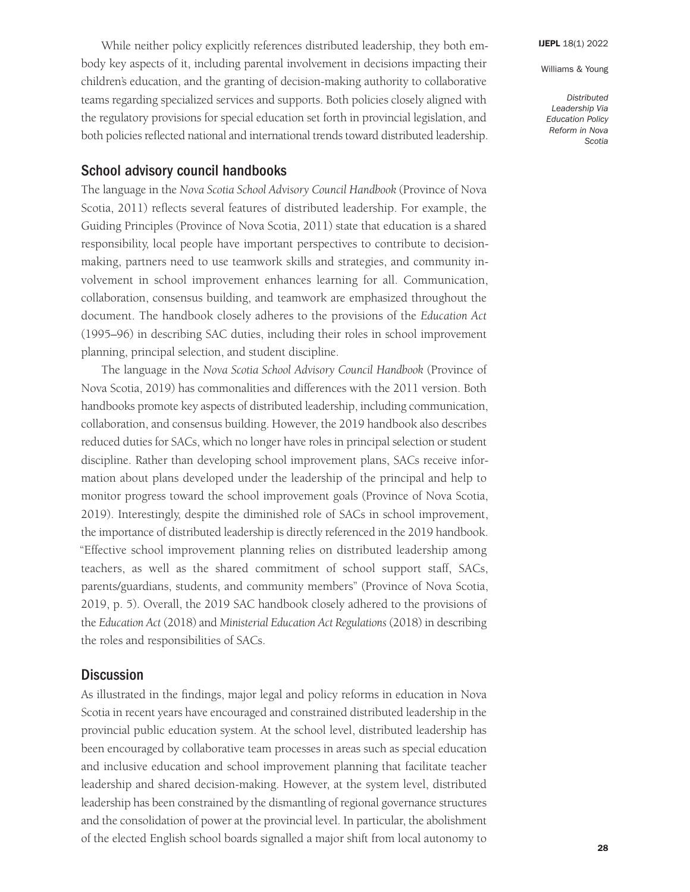*Distributed Leadership Via Education Policy Reform in Nova Scotia* 

While neither policy explicitly references distributed leadership, they both embody key aspects of it, including parental involvement in decisions impacting their children's education, and the granting of decision-making authority to collaborative teams regarding specialized services and supports. Both policies closely aligned with the regulatory provisions for special education set forth in provincial legislation, and both policies reflected national and international trends toward distributed leadership.

## School advisory council handbooks

The language in the *Nova Scotia School Advisory Council Handbook* (Province of Nova Scotia, 2011) reflects several features of distributed leadership. For example, the Guiding Principles (Province of Nova Scotia, 2011) state that education is a shared responsibility, local people have important perspectives to contribute to decisionmaking, partners need to use teamwork skills and strategies, and community involvement in school improvement enhances learning for all. Communication, collaboration, consensus building, and teamwork are emphasized throughout the document. The handbook closely adheres to the provisions of the *Education Act* (1995–96) in describing SAC duties, including their roles in school improvement planning, principal selection, and student discipline.

The language in the *Nova Scotia School Advisory Council Handbook* (Province of Nova Scotia, 2019) has commonalities and differences with the 2011 version. Both handbooks promote key aspects of distributed leadership, including communication, collaboration, and consensus building. However, the 2019 handbook also describes reduced duties for SACs, which no longer have roles in principal selection or student discipline. Rather than developing school improvement plans, SACs receive information about plans developed under the leadership of the principal and help to monitor progress toward the school improvement goals (Province of Nova Scotia, 2019). Interestingly, despite the diminished role of SACs in school improvement, the importance of distributed leadership is directly referenced in the 2019 handbook. "Effective school improvement planning relies on distributed leadership among teachers, as well as the shared commitment of school support staff, SACs, parents/guardians, students, and community members" (Province of Nova Scotia, 2019, p. 5). Overall, the 2019 SAC handbook closely adhered to the provisions of the *Education Act* (2018) and *Ministerial Education Act Regulations* (2018) in describing the roles and responsibilities of SACs.

# **Discussion**

As illustrated in the findings, major legal and policy reforms in education in Nova Scotia in recent years have encouraged and constrained distributed leadership in the provincial public education system. At the school level, distributed leadership has been encouraged by collaborative team processes in areas such as special education and inclusive education and school improvement planning that facilitate teacher leadership and shared decision-making. However, at the system level, distributed leadership has been constrained by the dismantling of regional governance structures and the consolidation of power at the provincial level. In particular, the abolishment of the elected English school boards signalled a major shift from local autonomy to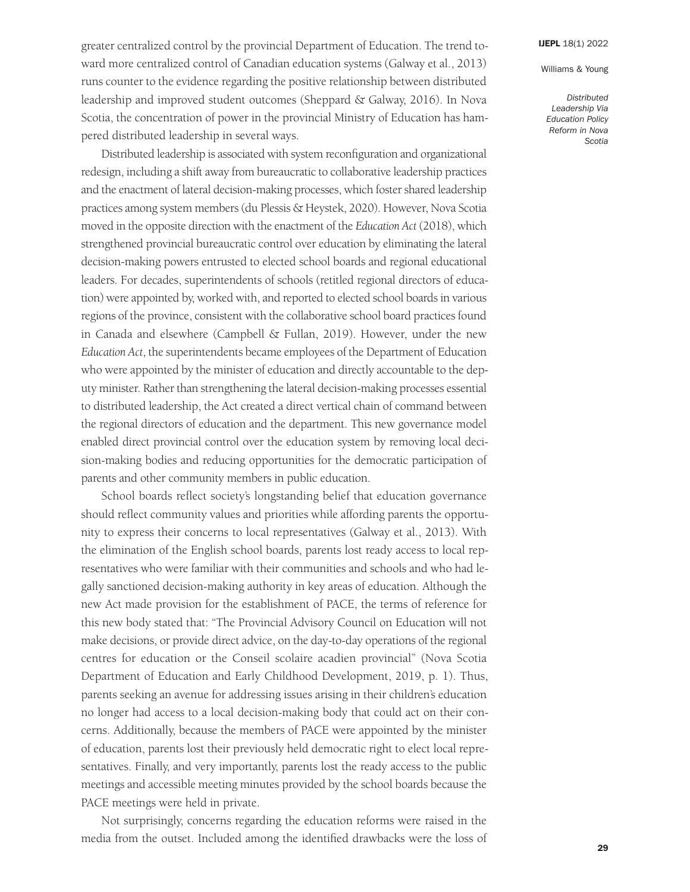Williams & Young

ward more centralized control of Canadian education systems (Galway et al., 2013) runs counter to the evidence regarding the positive relationship between distributed leadership and improved student outcomes (Sheppard & Galway, 2016). In Nova Scotia, the concentration of power in the provincial Ministry of Education has hampered distributed leadership in several ways.

greater centralized control by the provincial Department of Education. The trend to-

Distributed leadership is associated with system reconfiguration and organizational redesign, including a shift away from bureaucratic to collaborative leadership practices and the enactment of lateral decision-making processes, which foster shared leadership practices among system members (du Plessis & Heystek, 2020). However, Nova Scotia moved in the opposite direction with the enactment of the *Education Act* (2018), which strengthened provincial bureaucratic control over education by eliminating the lateral decision-making powers entrusted to elected school boards and regional educational leaders. For decades, superintendents of schools (retitled regional directors of education) were appointed by, worked with, and reported to elected school boards in various regions of the province, consistent with the collaborative school board practices found in Canada and elsewhere (Campbell & Fullan, 2019). However, under the new *Education Act*, the superintendents became employees of the Department of Education who were appointed by the minister of education and directly accountable to the deputy minister. Rather than strengthening the lateral decision-making processes essential to distributed leadership, the Act created a direct vertical chain of command between the regional directors of education and the department. This new governance model enabled direct provincial control over the education system by removing local decision-making bodies and reducing opportunities for the democratic participation of parents and other community members in public education.

School boards reflect society's longstanding belief that education governance should reflect community values and priorities while affording parents the opportunity to express their concerns to local representatives (Galway et al., 2013). With the elimination of the English school boards, parents lost ready access to local representatives who were familiar with their communities and schools and who had legally sanctioned decision-making authority in key areas of education. Although the new Act made provision for the establishment of PACE, the terms of reference for this new body stated that: "The Provincial Advisory Council on Education will not make decisions, or provide direct advice, on the day-to-day operations of the regional centres for education or the Conseil scolaire acadien provincial" (Nova Scotia Department of Education and Early Childhood Development, 2019, p. 1). Thus, parents seeking an avenue for addressing issues arising in their children's education no longer had access to a local decision-making body that could act on their concerns. Additionally, because the members of PACE were appointed by the minister of education, parents lost their previously held democratic right to elect local representatives. Finally, and very importantly, parents lost the ready access to the public meetings and accessible meeting minutes provided by the school boards because the PACE meetings were held in private.

Not surprisingly, concerns regarding the education reforms were raised in the media from the outset. Included among the identified drawbacks were the loss of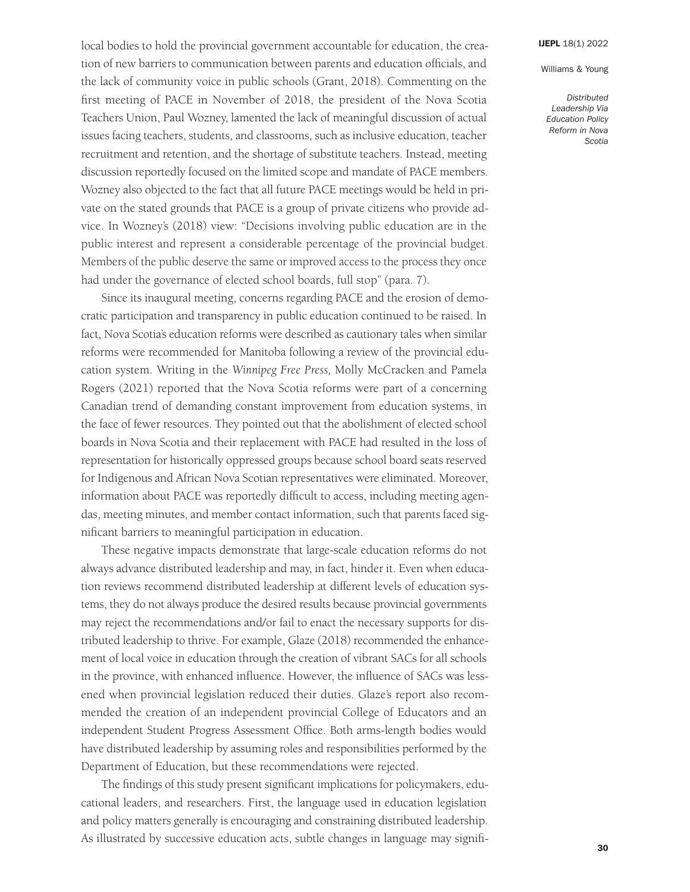*Distributed Leadership Via Education Policy Reform in Nova Scotia* 

local bodies to hold the provincial government accountable for education, the creation of new barriers to communication between parents and education officials, and the lack of community voice in public schools (Grant, 2018). Commenting on the first meeting of PACE in November of 2018, the president of the Nova Scotia Teachers Union, Paul Wozney, lamented the lack of meaningful discussion of actual issues facing teachers, students, and classrooms, such as inclusive education, teacher recruitment and retention, and the shortage of substitute teachers. Instead, meeting discussion reportedly focused on the limited scope and mandate of PACE members. Wozney also objected to the fact that all future PACE meetings would be held in private on the stated grounds that PACE is a group of private citizens who provide advice. In Wozney's (2018) view: "Decisions involving public education are in the public interest and represent a considerable percentage of the provincial budget. Members of the public deserve the same or improved access to the process they once had under the governance of elected school boards, full stop" (para. 7).

Since its inaugural meeting, concerns regarding PACE and the erosion of democratic participation and transparency in public education continued to be raised. In fact, Nova Scotia's education reforms were described as cautionary tales when similar reforms were recommended for Manitoba following a review of the provincial education system. Writing in the *Winnipeg Free Press,* Molly McCracken and Pamela Rogers (2021) reported that the Nova Scotia reforms were part of a concerning Canadian trend of demanding constant improvement from education systems, in the face of fewer resources. They pointed out that the abolishment of elected school boards in Nova Scotia and their replacement with PACE had resulted in the loss of representation for historically oppressed groups because school board seats reserved for Indigenous and African Nova Scotian representatives were eliminated. Moreover, information about PACE was reportedly difficult to access, including meeting agendas, meeting minutes, and member contact information, such that parents faced significant barriers to meaningful participation in education.

These negative impacts demonstrate that large-scale education reforms do not always advance distributed leadership and may, in fact, hinder it. Even when education reviews recommend distributed leadership at different levels of education systems, they do not always produce the desired results because provincial governments may reject the recommendations and/or fail to enact the necessary supports for distributed leadership to thrive. For example, Glaze (2018) recommended the enhancement of local voice in education through the creation of vibrant SACs for all schools in the province, with enhanced influence. However, the influence of SACs was lessened when provincial legislation reduced their duties. Glaze's report also recommended the creation of an independent provincial College of Educators and an independent Student Progress Assessment Office. Both arms-length bodies would have distributed leadership by assuming roles and responsibilities performed by the Department of Education, but these recommendations were rejected.

The findings of this study present significant implications for policymakers, educational leaders, and researchers. First, the language used in education legislation and policy matters generally is encouraging and constraining distributed leadership. As illustrated by successive education acts, subtle changes in language may signifi-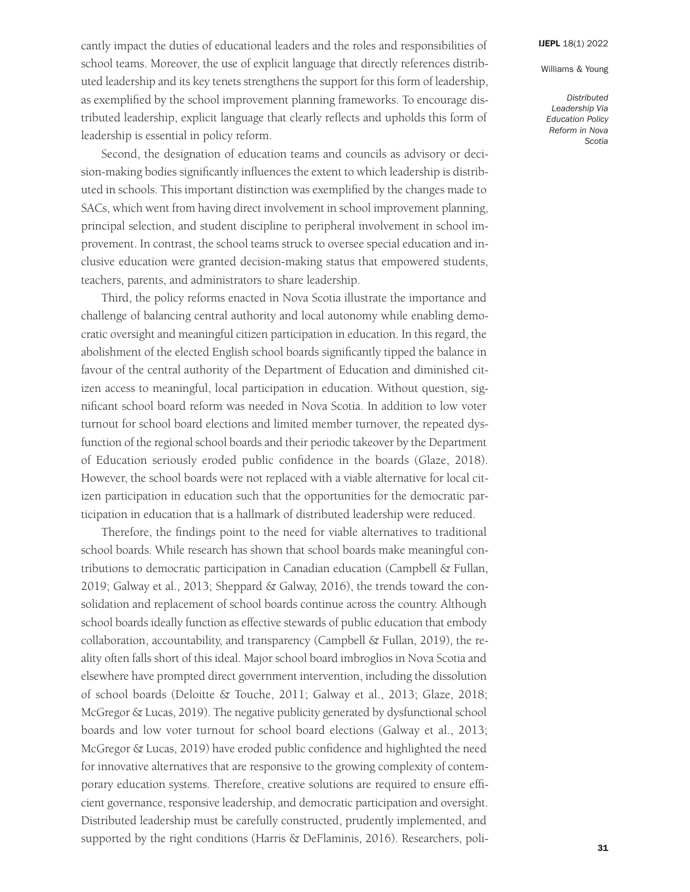Williams & Young

cantly impact the duties of educational leaders and the roles and responsibilities of school teams. Moreover, the use of explicit language that directly references distributed leadership and its key tenets strengthens the support for this form of leadership, as exemplified by the school improvement planning frameworks. To encourage distributed leadership, explicit language that clearly reflects and upholds this form of leadership is essential in policy reform.

Second, the designation of education teams and councils as advisory or decision-making bodies significantly influences the extent to which leadership is distributed in schools. This important distinction was exemplified by the changes made to SACs, which went from having direct involvement in school improvement planning, principal selection, and student discipline to peripheral involvement in school improvement. In contrast, the school teams struck to oversee special education and inclusive education were granted decision-making status that empowered students, teachers, parents, and administrators to share leadership.

Third, the policy reforms enacted in Nova Scotia illustrate the importance and challenge of balancing central authority and local autonomy while enabling democratic oversight and meaningful citizen participation in education. In this regard, the abolishment of the elected English school boards significantly tipped the balance in favour of the central authority of the Department of Education and diminished citizen access to meaningful, local participation in education. Without question, significant school board reform was needed in Nova Scotia. In addition to low voter turnout for school board elections and limited member turnover, the repeated dysfunction of the regional school boards and their periodic takeover by the Department of Education seriously eroded public confidence in the boards (Glaze, 2018). However, the school boards were not replaced with a viable alternative for local citizen participation in education such that the opportunities for the democratic participation in education that is a hallmark of distributed leadership were reduced.

Therefore, the findings point to the need for viable alternatives to traditional school boards. While research has shown that school boards make meaningful contributions to democratic participation in Canadian education (Campbell & Fullan, 2019; Galway et al., 2013; Sheppard & Galway, 2016), the trends toward the consolidation and replacement of school boards continue across the country. Although school boards ideally function as effective stewards of public education that embody collaboration, accountability, and transparency (Campbell  $\&$  Fullan, 2019), the reality often falls short of this ideal. Major school board imbroglios in Nova Scotia and elsewhere have prompted direct government intervention, including the dissolution of school boards (Deloitte & Touche, 2011; Galway et al., 2013; Glaze, 2018; McGregor & Lucas, 2019). The negative publicity generated by dysfunctional school boards and low voter turnout for school board elections (Galway et al., 2013; McGregor & Lucas, 2019) have eroded public confidence and highlighted the need for innovative alternatives that are responsive to the growing complexity of contemporary education systems. Therefore, creative solutions are required to ensure efficient governance, responsive leadership, and democratic participation and oversight. Distributed leadership must be carefully constructed, prudently implemented, and supported by the right conditions (Harris & DeFlaminis, 2016). Researchers, poli-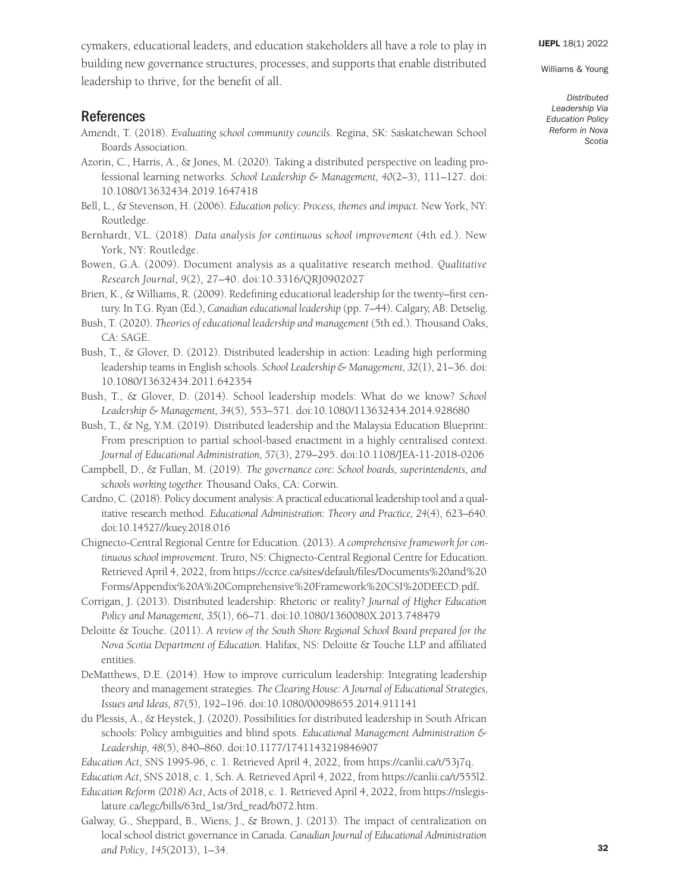Williams & Young

cymakers, educational leaders, and education stakeholders all have a role to play in building new governance structures, processes, and supports that enable distributed leadership to thrive, for the benefit of all.

# References

- Amendt, T. (2018). *Evaluating school community councils*. Regina, SK: Saskatchewan School Boards Association.
- Azorin, C., Harris, A., & Jones, M. (2020). Taking a distributed perspective on leading professional learning networks. *School Leadership & Management, 40*(2–3), 111–127. doi: [10.1080/13632434.2019.1647418](https://doi.org/10.1080/13632434.2019.1647418)
- Bell, L., & Stevenson, H. (2006). *Education policy: Process, themes and impact.* New York, NY: Routledge.
- Bernhardt, V.L. (2018). *Data analysis for continuous school improvement* (4th ed.). New York, NY: Routledge.
- Bowen, G.A. (2009). Document analysis as a qualitative research method. *Qualitative Research Journal, 9*(2), 27–40. doi[:10.3316/QRJ0902027](https://doi.org/10.3316/QRJ0902027)
- Brien, K., & Williams, R. (2009). Redefining educational leadership for the twenty–first century. In T.G. Ryan (Ed.), *Canadian educational leadership* (pp. 7–44). Calgary, AB: Detselig.
- Bush, T. (2020). *Theories of educational leadership and management* (5th ed.). Thousand Oaks, CA: SAGE.
- Bush, T., & Glover, D. (2012). Distributed leadership in action: Leading high performing leadership teams in English schools. *School Leadership & Management, 32*(1), 21–36. doi: [10.1080/13632434.2011.642354](https://doi.org/10.1080/13632434.2011.642354)
- Bush, T., & Glover, D. (2014). School leadership models: What do we know? *School Leadership & Management, 34*(5), 553–571. doi[:10.1080/113632434.2014.928680](https://doi.org/10.1080/113632434.2014.928680)
- Bush, T., & Ng, Y.M. (2019). Distributed leadership and the Malaysia Education Blueprint: From prescription to partial school-based enactment in a highly centralised context. *Journal of Educational Administration, 57*(3), 279–295. doi[:10.1108/JEA-11-2018-0206](https://doi.org/10.1108/JEA-11-2018-0206 )
- Campbell, D., & Fullan, M. (2019). *The governance core: School boards, superintendents, and schools working together.* Thousand Oaks, CA: Corwin.
- Cardno, C. (2018). Policy document analysis: A practical educational leadership tool and a qualitative research method. *Educational Administration: Theory and Practice, 24*(4), 623–640. doi[:10.14527//kuey.2018.016](https://doi.org/10.14527//kuey.2018.016 )
- Chignecto-Central Regional Centre for Education. (2013). *A comprehensive framework for continuous school improvement*. Truro, NS: Chignecto-Central Regional Centre for Education. Retrieved April 4, 2022, from [https://ccrce.ca/sites/default/files/Documents%20and%20](https://ccrce.ca/sites/default/files/Documents%20and%20Forms/Appendix%20A%20Comprehensive%20Framework%20CSI%20DEECD.pdf)  [Forms/Appendix%20A%20Comprehensive%20Framework%20CSI%20DEECD.pdf](https://ccrce.ca/sites/default/files/Documents%20and%20Forms/Appendix%20A%20Comprehensive%20Framework%20CSI%20DEECD.pdf).
- Corrigan, J. (2013). Distributed leadership: Rhetoric or reality? *Journal of Higher Education Policy and Management, 35*(1), 66–71. doi[:10.1080/1360080X.2013.748479](https://doi.org/10.1080/1360080X.2013.748479)
- Deloitte & Touche. (2011). *A review of the South Shore Regional School Board prepared for the Nova Scotia Department of Education.* Halifax, NS: Deloitte & Touche LLP and affiliated entities.
- DeMatthews, D.E. (2014). How to improve curriculum leadership: Integrating leadership theory and management strategies. *The Clearing House: A Journal of Educational Strategies, Issues and Ideas, 87*(5), 192–196. doi[:10.1080/00098655.2014.911141](https://doi.org/10.1080/00098655.2014.911141)
- du Plessis, A., & Heystek, J. (2020). Possibilities for distributed leadership in South African schools: Policy ambiguities and blind spots. *Educational Management Administration & Leadership, 48*(5), 840–860. doi[:10.1177/1741143219846907](https://doi.org/10.1177/1741143219846907)
- *Education Act*, SNS 1995-96, c. 1. Retrieved April 4, 2022, from [https://canlii.ca/t/53j7q.](https://canlii.ca/t/53j7q)
- *Education Act*, SNS 2018, c. 1, Sch. A. Retrieved April 4, 2022, from [https://canlii.ca/t/555l2.](https://canlii.ca/t/555l2)
- *Education Reform (2018) Act*, Acts of 2018, c. 1. Retrieved April 4, 2022, from [https://nslegis](https://nslegislature.ca/legc/bills/63rd_1st/3rd_read/b072.htm)[lature.ca/legc/bills/63rd\\_1st/3rd\\_read/b072.htm.](https://nslegislature.ca/legc/bills/63rd_1st/3rd_read/b072.htm)
- Galway, G., Sheppard, B., Wiens, J., & Brown, J. (2013). The impact of centralization on local school district governance in Canada. *Canadian Journal of Educational Administration and Policy*, *145*(2013), 1–34.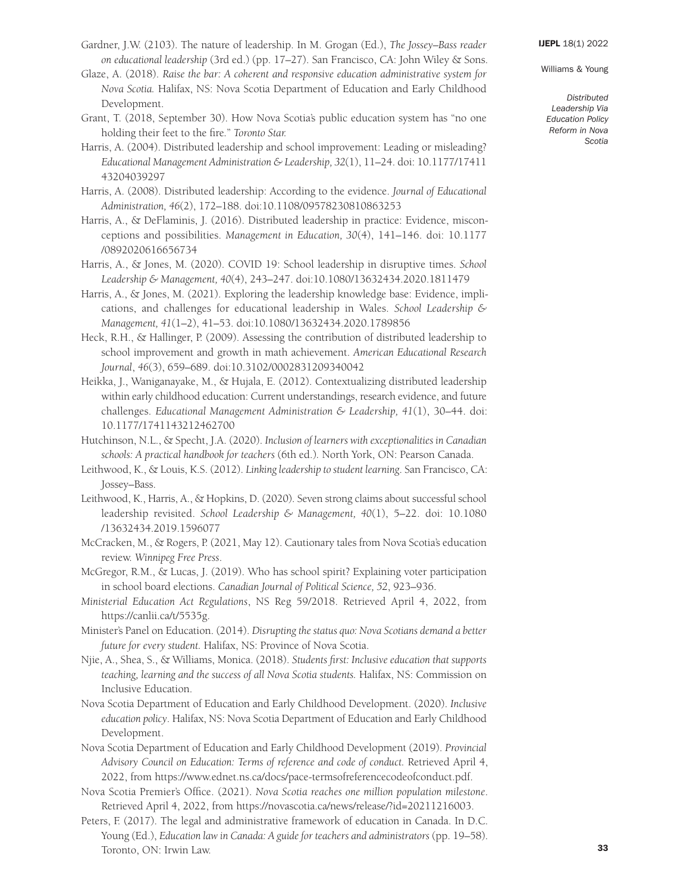Williams & Young

- Gardner, J.W. (2103). The nature of leadership. In M. Grogan (Ed.), *The Jossey–Bass reader on educational leadership* (3rd ed.) (pp. 17–27). San Francisco, CA: John Wiley & Sons.
- Glaze, A. (2018). *Raise the bar: A coherent and responsive education administrative system for Nova Scotia.* Halifax, NS: Nova Scotia Department of Education and Early Childhood Development.
- Grant, T. (2018, September 30). How Nova Scotia's public education system has "no one holding their feet to the fire*.*" *Toronto Star.*
- Harris, A. (2004). Distributed leadership and school improvement: Leading or misleading? *Educational Management Administration & Leadership, 32*(1), 11–24. doi: [10.1177/17411](https://doi.org/10.1177/1741143204039297)  [43204039297](https://doi.org/10.1177/1741143204039297)
- Harris, A. (2008). Distributed leadership: According to the evidence. *Journal of Educational Administration, 46*(2), 172–188. doi[:10.1108/09578230810863253](https://doi.org/10.1108/09578230810863253)
- Harris, A., & DeFlaminis, J. (2016). Distributed leadership in practice: Evidence, misconceptions and possibilities. *Management in Education, 30*(4), 141–146. doi: [10.1177](https://doi.org/10.1177/0892020616656734)  [/0892020616656734](https://doi.org/10.1177/0892020616656734)
- Harris, A., & Jones, M. (2020). COVID 19: School leadership in disruptive times. *School Leadership & Management, 40*(4), 243–247. doi[:10.1080/13632434.2020.1811479](https://doi.org/10.1080/13632434.2020.1811479)
- Harris, A., & Jones, M. (2021). Exploring the leadership knowledge base: Evidence, implications, and challenges for educational leadership in Wales. *School Leadership & Management, 41*(1–2), 41–53. doi[:10.1080/13632434.2020.1789856](https://doi.org/10.1080/13632434.2020.1789856)
- Heck, R.H., & Hallinger, P. (2009). Assessing the contribution of distributed leadership to school improvement and growth in math achievement. *American Educational Research Journal*, *46*(3), 659–689. doi[:10.3102/0002831209340042](https://doi.org/10.3102/0002831209340042)
- Heikka, J., Waniganayake, M., & Hujala, E. (2012). Contextualizing distributed leadership within early childhood education: Current understandings, research evidence, and future challenges. *Educational Management Administration & Leadership, 41*(1), 30–44. doi: [10.1177/1741143212462700](https://doi.org/10.1177/1741143212462700)
- Hutchinson, N.L., & Specht, J.A. (2020). *Inclusion of learners with exceptionalities in Canadian schools: A practical handbook for teachers* (6th ed.)*.* North York, ON: Pearson Canada.
- Leithwood, K., & Louis, K.S. (2012). *Linking leadership to student learning*. San Francisco, CA: Jossey–Bass.
- Leithwood, K., Harris, A., & Hopkins, D. (2020). Seven strong claims about successful school leadership revisited. *School Leadership & Management, 40*(1), 5–22. doi: [10.1080](https://doi.org/10.1080/13632434.2019.1596077)  [/13632434.2019.1596077](https://doi.org/10.1080/13632434.2019.1596077)
- McCracken, M., & Rogers, P. (2021, May 12). Cautionary tales from Nova Scotia's education review. *Winnipeg Free Press*.
- McGregor, R.M., & Lucas, J. (2019). Who has school spirit? Explaining voter participation in school board elections. *Canadian Journal of Political Science, 52*, 923–936.
- *Ministerial Education Act Regulations*, NS Reg 59/2018. Retrieved April 4, 2022, from [https://canlii.ca/t/5535g.](https://canlii.ca/t/5535g)
- Minister's Panel on Education. (2014). *Disrupting the status quo: Nova Scotians demand a better future for every student.* Halifax, NS: Province of Nova Scotia.
- Njie, A., Shea, S., & Williams, Monica. (2018). *Students first: Inclusive education that supports teaching, learning and the success of all Nova Scotia students.* Halifax, NS: Commission on Inclusive Education.
- Nova Scotia Department of Education and Early Childhood Development. (2020). *Inclusive education policy*. Halifax, NS: Nova Scotia Department of Education and Early Childhood Development.
- Nova Scotia Department of Education and Early Childhood Development (2019). *Provincial Advisory Council on Education: Terms of reference and code of conduct.* Retrieved April 4, 2022, from [https://www.ednet.ns.ca/docs/pace-termsofreferencecodeofconduct.pdf.](https://www.ednet.ns.ca/docs/pace-termsofreferencecodeofconduct.pdf)
- Nova Scotia Premier's Office. (2021). *Nova Scotia reaches one million population milestone*. Retrieved April 4, 2022, from [https://novascotia.ca/news/release/?id=20211216003.](https://novascotia.ca/news/release/?id=20211216003)
- Peters, F. (2017). The legal and administrative framework of education in Canada. In D.C. Young (Ed.), *Education law in Canada: A guide for teachers and administrators* (pp. 19–58). Toronto, ON: Irwin Law.